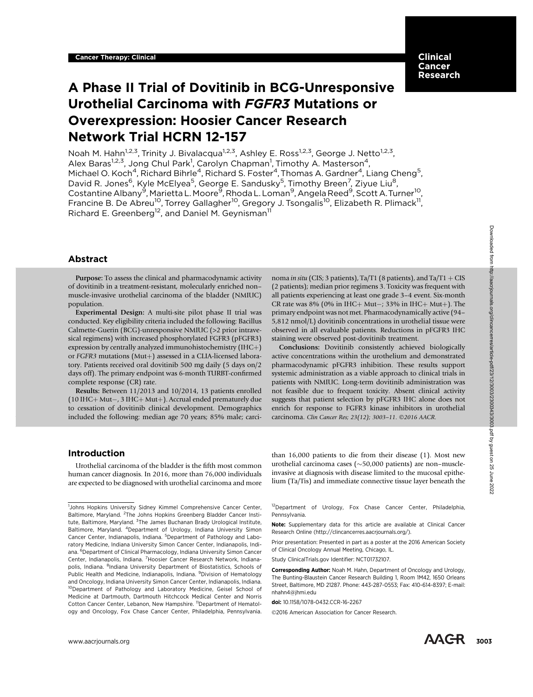# Clinical Cancer Research

# A Phase II Trial of Dovitinib in BCG-Unresponsive Urothelial Carcinoma with FGFR3 Mutations or Overexpression: Hoosier Cancer Research Network Trial HCRN 12-157

Noah M. Hahn<sup>1,2,3</sup>, Trinity J. Bivalacqua<sup>1,2,3</sup>, Ashley E. Ross<sup>1,2,3</sup>, George J. Netto<sup>1,2,3</sup>, Alex Baras<sup>1,2,3</sup>, Jong Chul Park<sup>1</sup>, Carolyn Chapman<sup>1</sup>, Timothy A. Masterson<sup>4</sup>, Michael O. Koch<sup>4</sup>, Richard Bihrle<sup>4</sup>, Richard S. Foster<sup>4</sup>, Thomas A. Gardner<sup>4</sup>, Liang Cheng<sup>5</sup>, David R. Jones<sup>6</sup>, Kyle McElyea<sup>5</sup>, George E. Sandusky<sup>5</sup>, Timothy Breen<sup>7</sup>, Ziyue Liu<sup>8</sup>, Costantine Albany<sup>9</sup>, Marietta L. Moore<sup>9</sup>, Rhoda L. Loman<sup>9</sup>, Angela Reed<sup>9</sup>, Scott A. Turner<sup>10</sup>, Francine B. De Abreu<sup>10</sup>, Torrey Gallagher<sup>10</sup>, Gregory J. Tsongalis<sup>10</sup>, Elizabeth R. Plimack<sup>11</sup>, Richard E. Greenberg<sup>12</sup>, and Daniel M. Geynisman<sup>11</sup>

# Abstract

Purpose: To assess the clinical and pharmacodynamic activity of dovitinib in a treatment-resistant, molecularly enriched non– muscle-invasive urothelial carcinoma of the bladder (NMIUC) population.

Experimental Design: A multi-site pilot phase II trial was conducted. Key eligibility criteria included the following: Bacillus Calmette-Guerin (BCG)-unresponsive NMIUC (>2 prior intravesical regimens) with increased phosphorylated FGFR3 (pFGFR3) expression by centrally analyzed immunohistochemistry (IHC $+$ ) or FGFR3 mutations (Mut+) assessed in a CLIA-licensed laboratory. Patients received oral dovitinib 500 mg daily (5 days on/2 days off). The primary endpoint was 6-month TURBT-confirmed complete response (CR) rate.

Results: Between 11/2013 and 10/2014, 13 patients enrolled  $(10$  IHC+ Mut-, 3 IHC+ Mut+). Accrual ended prematurely due to cessation of dovitinib clinical development. Demographics included the following: median age 70 years; 85% male; carcinoma in situ (CIS; 3 patients), Ta/T1 (8 patients), and Ta/T1 + CIS (2 patients); median prior regimens 3. Toxicity was frequent with all patients experiencing at least one grade 3–4 event. Six-month  $CR$  rate was 8% (0% in IHC + Mut-; 33% in IHC + Mut+). The primary endpoint was not met. Pharmacodynamically active (94– 5,812 nmol/L) dovitinib concentrations in urothelial tissue were observed in all evaluable patients. Reductions in pFGFR3 IHC staining were observed post-dovitinib treatment.

Conclusions: Dovitinib consistently achieved biologically active concentrations within the urothelium and demonstrated pharmacodynamic pFGFR3 inhibition. These results support systemic administration as a viable approach to clinical trials in patients with NMIUC. Long-term dovitinib administration was not feasible due to frequent toxicity. Absent clinical activity suggests that patient selection by pFGFR3 IHC alone does not enrich for response to FGFR3 kinase inhibitors in urothelial carcinoma. Clin Cancer Res; 23(12); 3003-11. ©2016 AACR.

# Introduction

Urothelial carcinoma of the bladder is the fifth most common human cancer diagnosis. In 2016, more than 76,000 individuals are expected to be diagnosed with urothelial carcinoma and more

<sup>12</sup>Department of Urology, Fox Chase Cancer Center, Philadelphia,

than 16,000 patients to die from their disease (1). Most new urothelial carcinoma cases ( $\sim$ 50,000 patients) are non–muscleinvasive at diagnosis with disease limited to the mucosal epithelium (Ta/Tis) and immediate connective tissue layer beneath the

Note: Supplementary data for this article are available at Clinical Cancer Research Online (http://clincancerres.aacrjournals.org/).

Prior presentation: Presented in part as a poster at the 2016 American Society of Clinical Oncology Annual Meeting, Chicago, IL.

Study ClinicalTrials.gov Identifier: NCT01732107.

Corresponding Author: Noah M. Hahn, Department of Oncology and Urology, The Bunting-Blaustein Cancer Research Building 1, Room 1M42, 1650 Orleans Street, Baltimore, MD 21287. Phone: 443-287-0553; Fax: 410-614-8397; E-mail: nhahn4@jhmi.edu

doi: 10.1158/1078-0432.CCR-16-2267

Pennsylvania.

2016 American Association for Cancer Research.

<sup>&</sup>lt;sup>1</sup>Johns Hopkins University Sidney Kimmel Comprehensive Cancer Center, Baltimore, Maryland. <sup>2</sup>The Johns Hopkins Greenberg Bladder Cancer Institute, Baltimore, Maryland. <sup>3</sup>The James Buchanan Brady Urological Institute, Baltimore, Maryland. <sup>4</sup>Department of Urology, Indiana University Simon Cancer Center, Indianapolis, Indiana. <sup>5</sup>Department of Pathology and Laboratory Medicine, Indiana University Simon Cancer Center, Indianapolis, Indiana. <sup>6</sup>Department of Clinical Pharmacology, Indiana University Simon Cancer Center, Indianapolis, Indiana. <sup>7</sup> Hoosier Cancer Research Network, Indianapolis, Indiana. <sup>8</sup>Indiana University Department of Biostatistics, Schools of Public Health and Medicine, Indianapolis, Indiana. <sup>9</sup>Division of Hematology and Oncology, Indiana University Simon Cancer Center, Indianapolis, Indiana. <sup>10</sup>Department of Pathology and Laboratory Medicine, Geisel School of Medicine at Dartmouth, Dartmouth Hitchcock Medical Center and Norris Cotton Cancer Center, Lebanon, New Hampshire. <sup>11</sup>Department of Hematology and Oncology, Fox Chase Cancer Center, Philadelphia, Pennsylvania. **Abstract**<br> **Surface Constraint and pharmacedyramic article-process are**  $\mu$  **(S. 3 particles)** and Diversion and Theoretican and Theoretican and Theoretican and Theoretican and Theoretican and Theoretican and Theoretican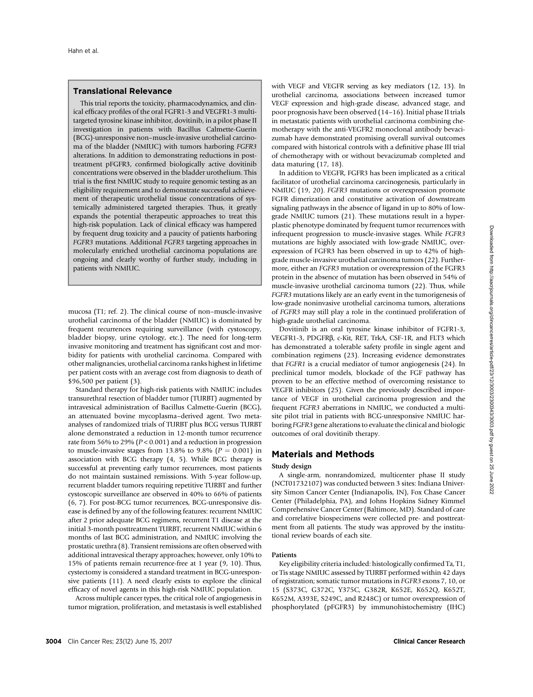# Translational Relevance

This trial reports the toxicity, pharmacodynamics, and clinical efficacy profiles of the oral FGFR1-3 and VEGFR1-3 multitargeted tyrosine kinase inhibitor, dovitinib, in a pilot phase II investigation in patients with Bacillus Calmette-Guerin (BCG)-unresponsive non–muscle-invasive urothelial carcinoma of the bladder (NMIUC) with tumors harboring FGFR3 alterations. In addition to demonstrating reductions in posttreatment pFGFR3, confirmed biologically active dovitinib concentrations were observed in the bladder urothelium. This trial is the first NMIUC study to require genomic testing as an eligibility requirement and to demonstrate successful achievement of therapeutic urothelial tissue concentrations of systemically administered targeted therapies. Thus, it greatly expands the potential therapeutic approaches to treat this high-risk population. Lack of clinical efficacy was hampered by frequent drug toxicity and a paucity of patients harboring FGFR3 mutations. Additional FGFR3 targeting approaches in molecularly enriched urothelial carcinoma populations are ongoing and clearly worthy of further study, including in patients with NMIUC.

mucosa (T1; ref. 2). The clinical course of non–muscle-invasive urothelial carcinoma of the bladder (NMIUC) is dominated by frequent recurrences requiring surveillance (with cystoscopy, bladder biopsy, urine cytology, etc.). The need for long-term invasive monitoring and treatment has significant cost and morbidity for patients with urothelial carcinoma. Compared with other malignancies, urothelial carcinoma ranks highest in lifetime per patient costs with an average cost from diagnosis to death of \$96,500 per patient (3).

Standard therapy for high-risk patients with NMIUC includes transurethral resection of bladder tumor (TURBT) augmented by intravesical administration of Bacillus Calmette-Guerin (BCG), an attenuated bovine mycoplasma–derived agent. Two metaanalyses of randomized trials of TURBT plus BCG versus TURBT alone demonstrated a reduction in 12-month tumor recurrence rate from 56% to 29% (<sup>P</sup> < 0.001) and a reduction in progression to muscle-invasive stages from 13.8% to 9.8% ( $P = 0.001$ ) in association with BCG therapy (4, 5). While BCG therapy is successful at preventing early tumor recurrences, most patients do not maintain sustained remissions. With 5-year follow-up, recurrent bladder tumors requiring repetitive TURBT and further cystoscopic surveillance are observed in 40% to 66% of patients (6, 7). For post-BCG tumor recurrences, BCG-unresponsive disease is defined by any of the following features: recurrent NMIUC after 2 prior adequate BCG regimens, recurrent T1 disease at the initial 3-month posttreatment TURBT, recurrent NMIUC within 6 months of last BCG administration, and NMIUC involving the prostatic urethra (8). Transient remissions are often observed with additional intravesical therapy approaches; however, only 10% to 15% of patients remain recurrence-free at 1 year (9, 10). Thus, cystectomy is considered a standard treatment in BCG-unresponsive patients (11). A need clearly exists to explore the clinical efficacy of novel agents in this high-risk NMIUC population.

Across multiple cancer types, the critical role of angiogenesis in tumor migration, proliferation, and metastasis is well established

with VEGF and VEGFR serving as key mediators (12, 13). In urothelial carcinoma, associations between increased tumor VEGF expression and high-grade disease, advanced stage, and poor prognosis have been observed (14–16). Initial phase II trials in metastatic patients with urothelial carcinoma combining chemotherapy with the anti-VEGFR2 monoclonal antibody bevacizumab have demonstrated promising overall survival outcomes compared with historical controls with a definitive phase III trial of chemotherapy with or without bevacizumab completed and data maturing (17, 18).

In addition to VEGFR, FGFR3 has been implicated as a critical facilitator of urothelial carcinoma carcinogenesis, particularly in NMIUC (19, 20). FGFR3 mutations or overexpression promote FGFR dimerization and constitutive activation of downstream signaling pathways in the absence of ligand in up to 80% of lowgrade NMIUC tumors (21). These mutations result in a hyperplastic phenotype dominated by frequent tumor recurrences with infrequent progression to muscle-invasive stages. While FGFR3 mutations are highly associated with low-grade NMIUC, overexpression of FGFR3 has been observed in up to 42% of highgrade muscle-invasive urothelial carcinoma tumors (22). Furthermore, either an FGFR3 mutation or overexpression of the FGFR3 protein in the absence of mutation has been observed in 54% of muscle-invasive urothelial carcinoma tumors (22). Thus, while FGFR3 mutations likely are an early event in the tumorigenesis of low-grade noninvasive urothelial carcinoma tumors, alterations of FGFR3 may still play a role in the continued proliferation of high-grade urothelial carcinoma.

Dovitinib is an oral tyrosine kinase inhibitor of FGFR1-3, VEGFR1-3, PDGFRb, c-Kit, RET, TrkA, CSF-1R, and FLT3 which has demonstrated a tolerable safety profile in single agent and combination regimens (23). Increasing evidence demonstrates that FGFR1 is a crucial mediator of tumor angiogenesis (24). In preclinical tumor models, blockade of the FGF pathway has proven to be an effective method of overcoming resistance to VEGFR inhibitors (25). Given the previously described importance of VEGF in urothelial carcinoma progression and the frequent FGFR3 aberrations in NMIUC, we conducted a multisite pilot trial in patients with BCG-unresponsive NMIUC harboring FGFR3 gene alterations to evaluate the clinical and biologic outcomes of oral dovitinib therapy.

# Materials and Methods

## Study design

A single-arm, nonrandomized, multicenter phase II study (NCT01732107) was conducted between 3 sites: Indiana University Simon Cancer Center (Indianapolis, IN), Fox Chase Cancer Center (Philadelphia, PA), and Johns Hopkins Sidney Kimmel Comprehensive Cancer Center (Baltimore, MD). Standard of care and correlative biospecimens were collected pre- and posttreatment from all patients. The study was approved by the institutional review boards of each site.

### Patients

Key eligibility criteria included: histologically confirmed Ta, T1, or Tis stage NMIUC assessed by TURBT performed within 42 days of registration; somatic tumor mutations in FGFR3 exons 7, 10, or 15 (S373C, G372C, Y375C, G382R, K652E, K652Q, K652T, K652M, A393E, S249C, and R248C) or tumor overexpression of phosphorylated (pFGFR3) by immunohistochemistry (IHC)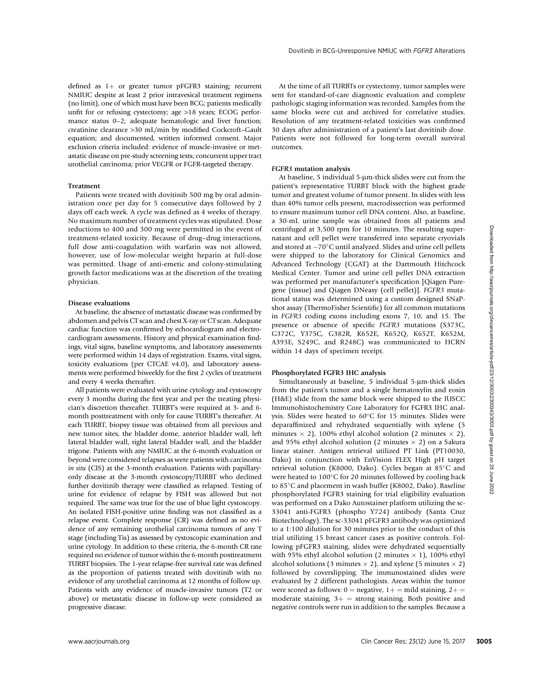defined as  $1+$  or greater tumor pFGFR3 staining; recurrent NMIUC despite at least 2 prior intravesical treatment regimens (no limit), one of which must have been BCG; patients medically unfit for or refusing cystectomy; age >18 years; ECOG performance status 0–2; adequate hematologic and liver function; creatinine clearance >30 mL/min by modified Cockcroft–Gault equation; and documented, written informed consent. Major exclusion criteria included: evidence of muscle-invasive or metastatic disease on pre-study screening tests; concurrent upper tract urothelial carcinoma; prior VEGFR or FGFR-targeted therapy.

### Treatment

Patients were treated with dovitinib 500 mg by oral administration once per day for 5 consecutive days followed by 2 days off each week. A cycle was defined as 4 weeks of therapy. No maximum number of treatment cycles was stipulated. Dose reductions to 400 and 300 mg were permitted in the event of treatment-related toxicity. Because of drug–drug interactions, full dose anti-coagulation with warfarin was not allowed, however, use of low-molecular weight heparin at full-dose was permitted. Usage of anti-emetic and colony-stimulating growth factor medications was at the discretion of the treating physician.

### Disease evaluations

At baseline, the absence of metastatic disease was confirmed by abdomen and pelvis CT scan and chest X-ray or CT scan. Adequate cardiac function was confirmed by echocardiogram and electrocardiogram assessments. History and physical examination findings, vital signs, baseline symptoms, and laboratory assessments were performed within 14 days of registration. Exams, vital signs, toxicity evaluations (per CTCAE v4.0), and laboratory assessments were performed biweekly for the first 2 cycles of treatment and every 4 weeks thereafter.

All patients were evaluated with urine cytology and cystoscopy every 3 months during the first year and per the treating physician's discretion thereafter. TURBT's were required at 3- and 6 month posttreatment with only for cause TURBT's thereafter. At each TURBT, biopsy tissue was obtained from all previous and new tumor sites, the bladder dome, anterior bladder wall, left lateral bladder wall, right lateral bladder wall, and the bladder trigone. Patients with any NMIUC at the 6-month evaluation or beyond were considered relapses as were patients with carcinoma in situ (CIS) at the 3-month evaluation. Patients with papillaryonly disease at the 3-month cystoscopy/TURBT who declined further dovitinib therapy were classified as relapsed. Testing of urine for evidence of relapse by FISH was allowed but not required. The same was true for the use of blue light cystoscopy. An isolated FISH-positive urine finding was not classified as a relapse event. Complete response (CR) was defined as no evidence of any remaining urothelial carcinoma tumors of any T stage (including Tis) as assessed by cystoscopic examination and urine cytology. In addition to these criteria, the 6-month CR rate required no evidence of tumor within the 6-month posttreatment TURBT biopsies. The 1-year relapse-free survival rate was defined as the proportion of patients treated with dovitinib with no evidence of any urothelial carcinoma at 12 months of follow up. Patients with any evidence of muscle-invasive tumors (T2 or above) or metastatic disease in follow-up were considered as progressive disease.

At the time of all TURBTs or cystectomy, tumor samples were sent for standard-of-care diagnostic evaluation and complete pathologic staging information was recorded. Samples from the same blocks were cut and archived for correlative studies. Resolution of any treatment-related toxicities was confirmed 30 days after administration of a patient's last dovitinib dose. Patients were not followed for long-term overall survival outcomes.

### FGFR3 mutation analysis

At baseline, 5 individual 5-µm-thick slides were cut from the patient's representative TURBT block with the highest grade tumor and greatest volume of tumor present. In slides with less than 40% tumor cells present, macrodissection was performed to ensure maximum tumor cell DNA content. Also, at baseline, a 30-mL urine sample was obtained from all patients and centrifuged at 3,500 rpm for 10 minutes. The resulting supernatant and cell pellet were transferred into separate cryovials and stored at  $-70^{\circ}$ C until analyzed. Slides and urine cell pellets were shipped to the laboratory for Clinical Genomics and Advanced Technology (CGAT) at the Dartmouth Hitchcock Medical Center. Tumor and urine cell pellet DNA extraction was performed per manufacturer's specification [Qiagen Puregene (tissue) and Qiagen DNeasy (cell pellet)]. FGFR3 mutational status was determined using a custom designed SNaPshot assay (ThermoFisher Scientific) for all common mutations in FGFR3 coding exons including exons 7, 10, and 15. The presence or absence of specific FGFR3 mutations (S373C, G372C, Y375C, G382R, K652E, K652Q, K652T, K652M, A393E, S249C, and R248C) was communicated to HCRN within 14 days of specimen receipt.

## Phosphorylated FGFR3 IHC analysis

Simultaneously at baseline, 5 individual 5-µm-thick slides from the patient's tumor and a single hematoxylin and eosin (H&E) slide from the same block were shipped to the IUSCC Immunohistochemistry Core Laboratory for FGFR3 IHC analysis. Slides were heated to  $60^{\circ}$ C for 15 minutes. Slides were deparaffinized and rehydrated sequentially with xylene (5 minutes  $\times$  2), 100% ethyl alcohol solution (2 minutes  $\times$  2), and 95% ethyl alcohol solution (2 minutes  $\times$  2) on a Sakura linear stainer. Antigen retrieval utilized PT Link (PT10030, Dako) in conjunction with EnVision FLEX High pH target retrieval solution (K8000, Dako). Cycles began at 85°C and were heated to  $100^{\circ}$ C for 20 minutes followed by cooling back to 85°C and placement in wash buffer (K8002, Dako). Baseline phosphorylated FGFR3 staining for trial eligibility evaluation was performed on a Dako Autostainer platform utilizing the sc-33041 anti-FGFR3 (phospho Y724) antibody (Santa Cruz Biotechnology). The sc-33041 pFGFR3 antibody was optimized to a 1:100 dilution for 30 minutes prior to the conduct of this trial utilizing 15 breast cancer cases as positive controls. Following pFGFR3 staining, slides were dehydrated sequentially with 95% ethyl alcohol solution (2 minutes  $\times$  1), 100% ethyl alcohol solutions (3 minutes  $\times$  2), and xylene (5 minutes  $\times$  2) followed by coverslipping. The immunostained slides were evaluated by 2 different pathologists. Areas within the tumor were scored as follows:  $0 =$  negative,  $1+=$  mild staining,  $2+=$ moderate staining,  $3+$  = strong staining. Both positive and negative controls were run in addition to the samples. Because a reductions to 50 and 300 mg were permitted in the error of comparison of the 10 animary. The results of the error of the error of the error of the error of the error of the error of the error of the error of the error of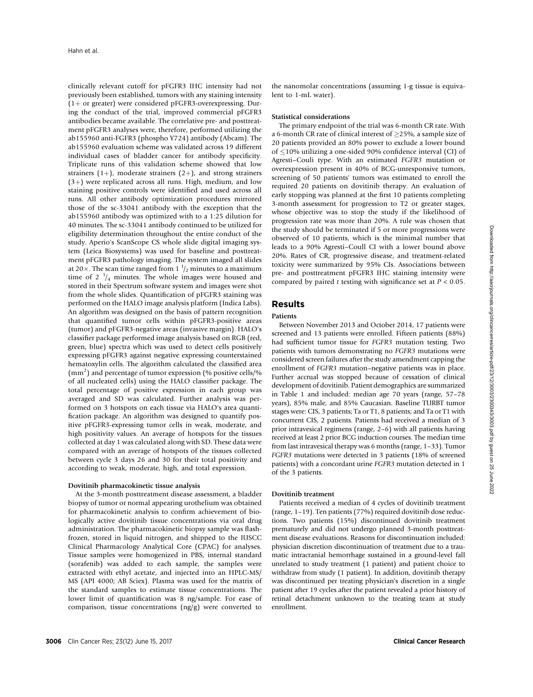clinically relevant cutoff for pFGFR3 IHC intensity had not previously been established, tumors with any staining intensity  $(1+$  or greater) were considered pFGFR3-overexpressing. During the conduct of the trial, improved commercial pFGFR3 antibodies became available. The correlative pre- and posttreatment pFGFR3 analyses were, therefore, performed utilizing the ab155960 anti-FGFR3 (phospho Y724) antibody (Abcam). The ab155960 evaluation scheme was validated across 19 different individual cases of bladder cancer for antibody specificity. Triplicate runs of this validation scheme showed that low strainers  $(1+)$ , moderate strainers  $(2+)$ , and strong strainers  $(3+)$  were replicated across all runs. High, medium, and low staining positive controls were identified and used across all runs. All other antibody optimization procedures mirrored those of the sc-33041 antibody with the exception that the ab155960 antibody was optimized with to a 1:25 dilution for 40 minutes. The sc-33041 antibody continued to be utilized for eligibility determination throughout the entire conduct of the study. Aperio's ScanScope CS whole slide digital imaging system (Leica Biosystems) was used for baseline and posttreatment pFGFR3 pathology imaging. The system imaged all slides at 20  $\times$ . The scan time ranged from 1  $\frac{1}{2}$  minutes to a maximum time of 2  $\frac{1}{4}$  minutes. The whole images were housed and stored in their Spectrum software system and images were shot from the whole slides. Quantification of pFGFR3 staining was performed on the HALO image analysis platform (Indica Labs). An algorithm was designed on the basis of pattern recognition that quantified tumor cells within pFGFR3-positive areas (tumor) and pFGFR3-negative areas (invasive margin). HALO's classifier package performed image analysis based on RGB (red, green, blue) spectra which was used to detect cells positively expressing pFGFR3 against negative expressing counterstained hematoxylin cells. The algorithm calculated the classified area (mm<sup>2</sup>) and percentage of tumor expression (% positive cells/% of all nucleated cells) using the HALO classifier package. The total percentage of positive expression in each group was averaged and SD was calculated. Further analysis was performed on 3 hotspots on each tissue via HALO's area quantification package. An algorithm was designed to quantify positive pFGFR3-expressing tumor cells in weak, moderate, and high positivity values. An average of hotspots for the tissues collected at day 1 was calculated along with SD. These data were compared with an average of hotspots of the tissues collected between cycle 3 days 26 and 30 for their total positivity and according to weak, moderate, high, and total expression.

### Dovitinib pharmacokinetic tissue analysis

At the 3-month posttreatment disease assessment, a bladder biopsy of tumor or normal appearing urothelium was obtained for pharmacokinetic analysis to confirm achievement of biologically active dovitinib tissue concentrations via oral drug administration. The pharmacokinetic biopsy sample was flashfrozen, stored in liquid nitrogen, and shipped to the IUSCC Clinical Pharmacology Analytical Core (CPAC) for analyses. Tissue samples were homogenized in PBS, internal standard (sorafenib) was added to each sample, the samples were extracted with ethyl acetate, and injected into an HPLC-MS/ MS (API 4000; AB Sciex). Plasma was used for the matrix of the standard samples to estimate tissue concentrations. The lower limit of quantification was 8 ng/sample. For ease of comparison, tissue concentrations (ng/g) were converted to the nanomolar concentrations (assuming 1-g tissue is equivalent to 1-mL water).

### Statistical considerations

The primary endpoint of the trial was 6-month CR rate. With a 6-month CR rate of clinical interest of  $\geq$  25%, a sample size of 20 patients provided an 80% power to exclude a lower bound of  $\leq$ 10% utilizing a one-sided 90% confidence interval (CI) of Agresti–Couli type. With an estimated FGFR3 mutation or overexpression present in 40% of BCG-unresponsive tumors, screening of 50 patients' tumors was estimated to enroll the required 20 patients on dovitinib therapy. An evaluation of early stopping was planned at the first 10 patients completing 3-month assessment for progression to T2 or greater stages, whose objective was to stop the study if the likelihood of progression rate was more than 20%. A rule was chosen that the study should be terminated if 5 or more progressions were observed of 10 patients, which is the minimal number that leads to a 90% Agresti–Coull CI with a lower bound above 20%. Rates of CR, progressive disease, and treatment-related toxicity were summarized by 95% CIs. Associations between pre- and posttreatment pFGFR3 IHC staining intensity were compared by paired  $t$  testing with significance set at  $P < 0.05$ .

# Results

## Patients

Between November 2013 and October 2014, 17 patients were screened and 13 patients were enrolled. Fifteen patients (88%) had sufficient tumor tissue for FGFR3 mutation testing. Two patients with tumors demonstrating no FGFR3 mutations were considered screen failures after the study amendment capping the enrollment of FGFR3 mutation–negative patients was in place. Further accrual was stopped because of cessation of clinical development of dovitinib. Patient demographics are summarized in Table 1 and included: median age 70 years (range, 57–78 years), 85% male, and 85% Caucasian. Baseline TURBT tumor stages were: CIS, 3 patients; Ta or T1, 8 patients; and Ta or T1 with concurrent CIS, 2 patients. Patients had received a median of 3 prior intravesical regimens (range, 2–6) with all patients having received at least 2 prior BCG induction courses. The median time from last intravesical therapy was 6 months (range, 1–33). Tumor FGFR3 mutations were detected in 3 patients (18% of screened patients) with a concordant urine FGFR3 mutation detected in 1 of the 3 patients.

# Dovitinib treatment

Patients received a median of 4 cycles of dovitinib treatment (range, 1–19). Ten patients (77%) required dovitinib dose reductions. Two patients (15%) discontinued dovitinib treatment prematurely and did not undergo planned 3-month posttreatment disease evaluations. Reasons for discontinuation included: physician discretion discontinuation of treatment due to a traumatic intracranial hemorrhage sustained in a ground-level fall unrelated to study treatment (1 patient) and patient choice to withdraw from study (1 patient). In addition, dovitinib therapy was discontinued per treating physician's discretion in a single patient after 19 cycles after the patient revealed a prior history of retinal detachment unknown to the treating team at study enrollment.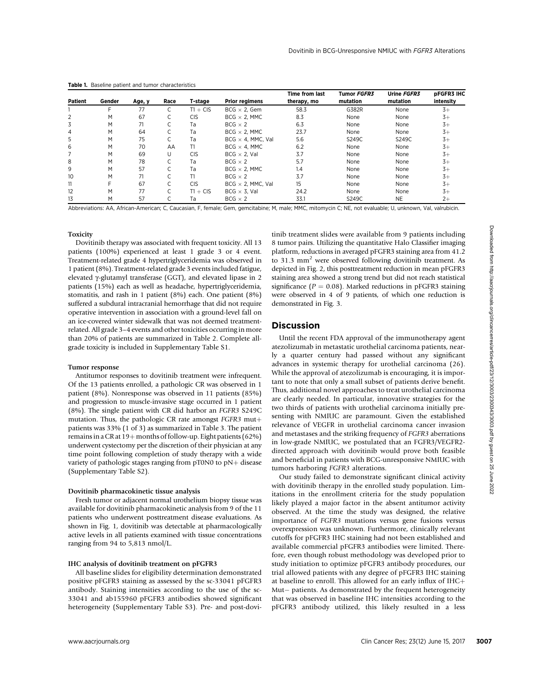|         |        |        |      |            |                           | Time from last | Tumor FGFR3 | Urine FGFR3 | <b>DFGFR3 IHC</b> |
|---------|--------|--------|------|------------|---------------------------|----------------|-------------|-------------|-------------------|
| Patient | Gender | Age, y | Race | T-stage    | <b>Prior regimens</b>     | therapy, mo    | mutation    | mutation    | intensity         |
|         |        | 77     |      | $T1 + CIS$ | $BCG \times 2$ . Gem      | 58.3           | G382R       | None        | $3+$              |
|         | M      | 67     |      | <b>CIS</b> | $BCG \times 2$ . MMC      | 8.3            | None        | None        | $3+$              |
| 3       | M      | 71     |      | Тa         | $BCG \times 2$            | 6.3            | None        | None        | $3+$              |
| 4       | M      | 64     |      | Ta         | $BCG \times 2$ . MMC      | 23.7           | None        | None        | $3+$              |
| 5       | M      | 75     |      | Ta         | $BCG \times 4$ , MMC, Val | 5.6            | S249C       | S249C       | $3+$              |
| 6       | M      | 70     | AA   | T1         | $BCG \times 4$ , MMC      | 6.2            | None        | None        | $3+$              |
|         | M      | 69     | U    | <b>CIS</b> | $BCG \times 2$ . Val      | 3.7            | None        | None        | $3+$              |
| 8       | M      | 78     |      | Ta         | $BCG \times 2$            | 5.7            | None        | None        | $3+$              |
| 9       | M      | 57     |      | Ta         | $BCG \times 2$ . MMC      | 1.4            | None        | None        | $3+$              |
| 10      | M      | 71     |      | T1         | $BCG \times 2$            | 3.7            | None        | None        | $3+$              |
| 11      |        | 67     |      | <b>CIS</b> | BCG $\times$ 2, MMC. Val  | 15             | None        | None        | $3+$              |
| 12      | M      | 77     |      | $T1 + CIS$ | $BCG \times 3$ . Val      | 24.2           | None        | None        | $3+$              |
| 13      | M      | 57     |      | Tа         | $BCG \times 2$            | 33.1           | S249C       | <b>NE</b>   | $2+$              |

Table 1. Baseline patient and tumor characteristics

Abbreviations: AA, African-American; C, Caucasian, F, female; Gem, gemcitabine; M, male; MMC, mitomycin C; NE, not evaluable; U, unknown, Val, valrubicin.

## Toxicity

Dovitinib therapy was associated with frequent toxicity. All 13 patients (100%) experienced at least 1 grade 3 or 4 event. Treatment-related grade 4 hypertriglyceridemia was observed in 1 patient (8%). Treatment-related grade 3 events included fatigue, elevated  $\gamma$ -glutamyl transferase (GGT), and elevated lipase in 2 patients (15%) each as well as headache, hypertriglyceridemia, stomatitis, and rash in 1 patient (8%) each. One patient (8%) suffered a subdural intracranial hemorrhage that did not require operative intervention in association with a ground-level fall on an ice-covered winter sidewalk that was not deemed treatmentrelated. All grade 3–4 events and other toxicities occurring in more than 20% of patients are summarized in Table 2. Complete allgrade toxicity is included in Supplementary Table S1.

#### Tumor response

Antitumor responses to dovitinib treatment were infrequent. Of the 13 patients enrolled, a pathologic CR was observed in 1 patient (8%). Nonresponse was observed in 11 patients (85%) and progression to muscle-invasive stage occurred in 1 patient (8%). The single patient with CR did harbor an FGFR3 S249C mutation. Thus, the pathologic CR rate amongst  $FGFR3$  mut+ patients was 33% (1 of 3) as summarized in Table 3. The patient remains in a CR at  $19+$  months of follow-up. Eight patients (62%) underwent cystectomy per the discretion of their physician at any time point following completion of study therapy with a wide variety of pathologic stages ranging from  $pT0N0$  to  $pN+$  disease (Supplementary Table S2).

#### Dovitinib pharmacokinetic tissue analysis

Fresh tumor or adjacent normal urothelium biopsy tissue was available for dovitinib pharmacokinetic analysis from 9 of the 11 patients who underwent posttreatment disease evaluations. As shown in Fig. 1, dovitinib was detectable at pharmacologically active levels in all patients examined with tissue concentrations ranging from 94 to 5,813 nmol/L.

### IHC analysis of dovitinib treatment on pFGFR3

All baseline slides for eligibility determination demonstrated positive pFGFR3 staining as assessed by the sc-33041 pFGFR3 antibody. Staining intensities according to the use of the sc-33041 and ab155960 pFGFR3 antibodies showed significant heterogeneity (Supplementary Table S3). Pre- and post-dovitinib treatment slides were available from 9 patients including 8 tumor pairs. Utilizing the quantitative Halo Classifier imaging platform, reductions in averaged pFGFR3 staining area from 41.2 to 31.3 mm<sup>2</sup> were observed following dovitinib treatment. As depicted in Fig. 2, this posttreatment reduction in mean pFGFR3 staining area showed a strong trend but did not reach statistical significance ( $P = 0.08$ ). Marked reductions in pFGFR3 staining were observed in 4 of 9 patients, of which one reduction is demonstrated in Fig. 3.

# **Discussion**

Until the recent FDA approval of the immunotherapy agent atezolizumab in metastatic urothelial carcinoma patients, nearly a quarter century had passed without any significant advances in systemic therapy for urothelial carcinoma (26). While the approval of atezolizumab is encouraging, it is important to note that only a small subset of patients derive benefit. Thus, additional novel approaches to treat urothelial carcinoma are clearly needed. In particular, innovative strategies for the two thirds of patients with urothelial carcinoma initially presenting with NMIUC are paramount. Given the established relevance of VEGFR in urothelial carcinoma cancer invasion and metastases and the striking frequency of FGFR3 aberrations in low-grade NMIUC, we postulated that an FGFR3/VEGFR2 directed approach with dovitinib would prove both feasible and beneficial in patients with BCG-unresponsive NMIUC with tumors harboring FGFR3 alterations.

Our study failed to demonstrate significant clinical activity with dovitinib therapy in the enrolled study population. Limitations in the enrollment criteria for the study population likely played a major factor in the absent antitumor activity observed. At the time the study was designed, the relative importance of FGFR3 mutations versus gene fusions versus overexpression was unknown. Furthermore, clinically relevant cutoffs for pFGFR3 IHC staining had not been established and available commercial pFGFR3 antibodies were limited. Therefore, even though robust methodology was developed prior to study initiation to optimize pFGFR3 antibody procedures, our trial allowed patients with any degree of pFGFR3 IHC staining at baseline to enroll. This allowed for an early influx of  $IHC +$ Mut- patients. As demonstrated by the frequent heterogeneity that was observed in baseline IHC intensities according to the pFGFR3 antibody utilized, this likely resulted in a less In the three controls of the from the control in the control of the control of the control of the control of the same of the same of the control of the same of the same of the same of the same of the same of the same of t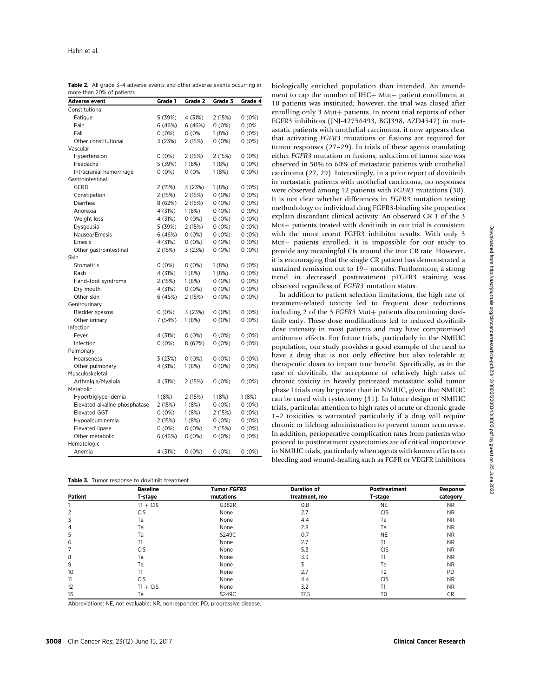| Adverse event                 | Grade 1  | Grade 2  | Grade 3  | Grade 4  |
|-------------------------------|----------|----------|----------|----------|
| Constitutional                |          |          |          |          |
| Fatigue                       | 5 (39%)  | 4 (31%)  | 2 (15%)  | $0(0\%)$ |
| Pain                          | 6 (46%)  | 6(46%)   | 0(0%)    | 0(0%     |
| Fall                          | $0(0\%)$ | 0(0%     | 1(8%)    | 0(0%)    |
| Other constitutional          | 3 (23%)  | 2 (15%)  | 0(0%)    | 0(0%)    |
| Vascular                      |          |          |          |          |
| Hypertension                  | 0(0%)    | 2 (15%)  | 2 (15%)  | 0(0%)    |
| Headache                      | 5 (39%)  | 1(8%)    | 1(8%)    | 0(0%)    |
| Intracranial hemorrhage       | 0(0%)    | 0(0%     | 1(8%)    | 0(0%)    |
| Gastrointestinal              |          |          |          |          |
| <b>GERD</b>                   | 2 (15%)  | 3(23%)   | 1(8%)    | 0(0%)    |
| Constipation                  | 2 (15%)  | 2 (15%)  | 0(0%)    | 0(0%)    |
| Diarrhea                      | 8 (62%)  | 2(15%)   | $0(0\%)$ | $0(0\%)$ |
| Anorexia                      | 4 (31%)  | 1(8%)    | $0(0\%)$ | 0(0%)    |
| Weight loss                   | 4 (31%)  | $0(0\%)$ | $0(0\%)$ | $0(0\%)$ |
| Dysgeusia                     | 5 (39%)  | 2(15%)   | $0(0\%)$ | $0(0\%)$ |
| Nausea/Emesis                 | 6(46%)   | $0(0\%)$ | $0(0\%)$ | $0(0\%)$ |
| Emesis                        | 4 (31%)  | 0(0%)    | 0(0%)    | 0(0%)    |
| Other gastrointestinal        | 2 (15%)  | 3 (23%)  | 0(0%)    | 0(0%)    |
| Skin                          |          |          |          |          |
| Stomatitis                    | $0(0\%)$ | 0(0%)    | 1(8%)    | 0(0%)    |
| Rash                          | 4 (31%)  | 1(8%)    | 1(8%)    | 0(0%)    |
| Hand-foot syndrome            | 2 (15%)  | 1(8%)    | 0(0%)    | 0(0%)    |
| Dry mouth                     | 4 (31%)  | 0(0%)    | 0(0%)    | 0(0%)    |
| Other skin                    | 6 (46%)  | 2(15%)   | $0(0\%)$ | 0(0%)    |
| Genitourinary                 |          |          |          |          |
| Bladder spasms                | $0(0\%)$ | 3(23%)   | $0(0\%)$ | $0(0\%)$ |
| Other urinary                 | 7 (54%)  | 1(8%)    | 0(0%)    | 0(0%)    |
| Infection                     |          |          |          |          |
| Fever                         | 4 (31%)  | $0(0\%)$ | $0(0\%)$ | $0(0\%)$ |
| Infection                     | $0(0\%)$ | 8 (62%)  | 0(0%)    | 0(0%)    |
| Pulmonary                     |          |          |          |          |
| Hoarseness                    | 3 (23%)  | 0(0%)    | 0(0%)    | 0(0%)    |
| Other pulmonary               | 4 (31%)  | 1(8%)    | 0(0%)    | 0(0%)    |
| Musculoskeletal               |          |          |          |          |
| Arthralgia/Myalgia            | 4 (31%)  | 2 (15%)  | 0(0%)    | 0(0%)    |
| Metabolic                     |          |          |          |          |
| Hypertriglyceridemia          | 1(8%)    | 2 (15%)  | 1 (8%)   | 1(8%)    |
| Elevated alkaline phosphatase | 2(15%)   | 1(8%)    | 0(0%)    | 0(0%)    |
| <b>Elevated GGT</b>           | $0(0\%)$ | 1(8%)    | 2 (15%)  | 0(0%)    |
| Hypoalbuminemia               | 2(15%)   | 1(8%)    | $0(0\%)$ | $0(0\%)$ |
| Elevated lipase               | $0(0\%)$ | $0(0\%)$ | 2 (15%)  | $0(0\%)$ |
| Other metabolic               | 6(46%)   | $0(0\%)$ | 0(0%)    | 0(0%)    |
| Hematologic                   |          |          |          |          |
| Anemia                        | 4 (31%)  | $0(0\%)$ | $0(0\%)$ | 0(0%)    |

Table 2. All grade 3-4 adverse events and other adverse events occurring in more than 20% of patients

Table **3.** Tumor response to dovitinib treatment

biologically enriched population than intended. An amendment to cap the number of  $H C + M ut$  patient enrollment at 10 patients was instituted; however, the trial was closed after enrolling only 3 Mut+ patients. In recent trial reports of other FGFR3 inhibitors (JNJ-42756493, BGJ398, AZD4547) in metastatic patients with urothelial carcinoma, it now appears clear that activating FGFR3 mutations or fusions are required for tumor responses (27–29). In trials of these agents mandating either FGFR3 mutation or fusions, reduction of tumor size was observed in 50% to 60% of metastatic patients with urothelial carcinoma (27, 29). Interestingly, in a prior report of dovitinib in metastatic patients with urothelial carcinoma, no responses were observed among 12 patients with FGFR3 mutations (30). It is not clear whether differences in FGFR3 mutation testing methodology or individual drug FGFR3-binding site properties explain discordant clinical activity. An observed CR 1 of the 3 Mut+ patients treated with dovitinib in our trial is consistent with the more recent FGFR3 inhibitor results. With only 3 Mut+ patients enrolled, it is impossible for our study to provide any meaningful CIs around the true CR rate. However, it is encouraging that the single CR patient has demonstrated a sustained remission out to  $19+$  months. Furthermore, a strong trend in decreased posttreatment pFGFR3 staining was observed regardless of FGFR3 mutation status.

In addition to patient selection limitations, the high rate of treatment-related toxicity led to frequent dose reductions including 2 of the 3 FGFR3 Mut+ patients discontinuing dovitinib early. These dose modifications led to reduced dovitinib dose intensity in most patients and may have compromised antitumor effects. For future trials, particularly in the NMIUC population, our study provides a good example of the need to have a drug that is not only effective but also tolerable at therapeutic doses to impart true benefit. Specifically, as in the case of dovitinib, the acceptance of relatively high rates of chronic toxicity in heavily pretreated metastatic solid tumor phase I trials may be greater than in NMIUC, given that NMIUC can be cured with cystectomy (31). In future design of NMIUC trials, particular attention to high rates of acute or chronic grade 1–2 toxicities is warranted particularly if a drug will require chronic or lifelong administration to prevent tumor recurrence. In addition, perioperative complication rates from patients who proceed to posttreatment cystectomies are of critical importance in NMIUC trials, particularly when agents with known effects on bleeding and wound-healing such as FGFR or VEGFR inhibitors

|         | <b>Baseline</b> | Tumor FGFR3 | <b>Duration of</b> | Posttreatment  | Response  |
|---------|-----------------|-------------|--------------------|----------------|-----------|
| Patient | T-stage         | mutations   | treatment, mo      | T-stage        | category  |
|         | $T1 + CIS$      | G382R       | 0.8                | <b>NE</b>      | <b>NR</b> |
| 2       | <b>CIS</b>      | None        | 2.7                | <b>CIS</b>     | <b>NR</b> |
| 3       | Тa              | None        | 4.4                | Ta             | <b>NR</b> |
| 4       | Тa              | None        | 2.8                | Ta             | <b>NR</b> |
| 5       | Тa              | S249C       | 0.7                | <b>NE</b>      | <b>NR</b> |
| 6       |                 | None        | 2.7                | T1             | <b>NR</b> |
|         | <b>CIS</b>      | None        | 5.3                | <b>CIS</b>     | <b>NR</b> |
| 8       | Тa              | None        | 3.3                | T1             | <b>NR</b> |
| 9       | Тa              | None        | Ć                  | Ta             | <b>NR</b> |
| 10      |                 | None        | 2.7                | T <sub>2</sub> | <b>PD</b> |
| 11      | <b>CIS</b>      | None        | 4.4                | <b>CIS</b>     | <b>NR</b> |
| 12      | $T1 + CIS$      | None        | 3.2                | T1             | <b>NR</b> |
| 13      | Тa              | S249C       | 17.5               | T0             | <b>CR</b> |

Abbreviations: NE, not evaluable; NR, nonresponder; PD, progressive disease.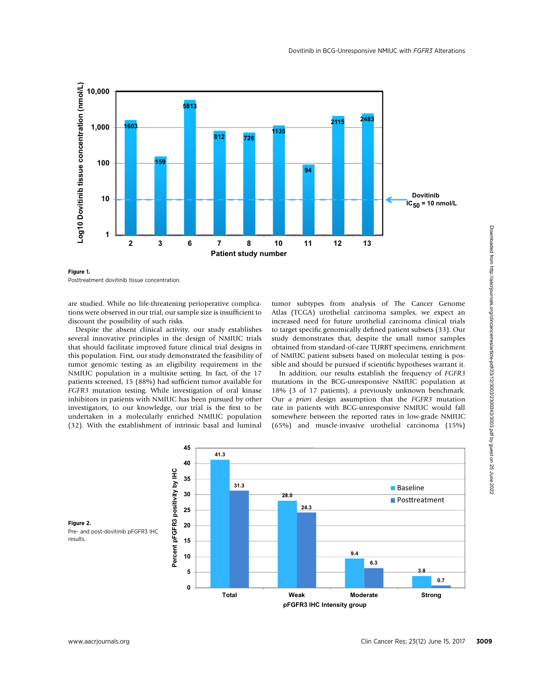

Figure 1. Posttreatment dovitinib tissue concentration.

are studied. While no life-threatening perioperative complications were observed in our trial, our sample size is insufficient to discount the possibility of such risks.

Despite the absent clinical activity, our study establishes several innovative principles in the design of NMIUC trials that should facilitate improved future clinical trial designs in this population. First, our study demonstrated the feasibility of tumor genomic testing as an eligibility requirement in the NMIUC population in a multisite setting. In fact, of the 17 patients screened, 15 (88%) had sufficient tumor available for FGFR3 mutation testing. While investigation of oral kinase inhibitors in patients with NMIUC has been pursued by other investigators, to our knowledge, our trial is the first to be undertaken in a molecularly enriched NMIUC population (32). With the establishment of intrinsic basal and luminal tumor subtypes from analysis of The Cancer Genome Atlas (TCGA) urothelial carcinoma samples, we expect an increased need for future urothelial carcinoma clinical trials to target specific genomically defined patient subsets (33). Our study demonstrates that, despite the small tumor samples obtained from standard-of-care TURBT specimens, enrichment of NMIUC patient subsets based on molecular testing is possible and should be pursued if scientific hypotheses warrant it.

In addition, our results establish the frequency of FGFR3 mutations in the BCG-unresponsive NMIUC population at 18% (3 of 17 patients), a previously unknown benchmark. Our a priori design assumption that the FGFR3 mutation rate in patients with BCG-unresponsive NMIUC would fall somewhere between the reported rates in low-grade NMIUC (65%) and muscle-invasive urothelial carcinoma (15%)

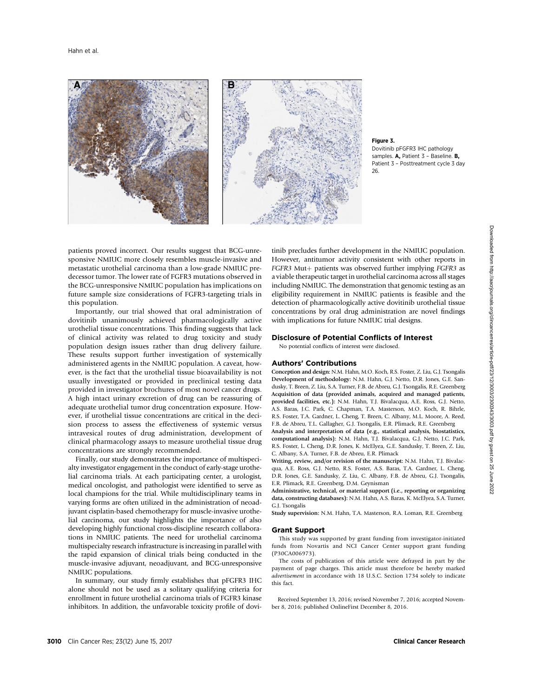

#### Figure 3. Dovitinib pFGFR3 IHC pathology samples. A, Patient 3 - Baseline. B. Patient 3 – Posttreatment cycle 3 day

patients proved incorrect. Our results suggest that BCG-unresponsive NMIUC more closely resembles muscle-invasive and metastatic urothelial carcinoma than a low-grade NMIUC predecessor tumor. The lower rate of FGFR3 mutations observed in the BCG-unresponsive NMIUC population has implications on future sample size considerations of FGFR3-targeting trials in this population.

Importantly, our trial showed that oral administration of dovitinib unanimously achieved pharmacologically active urothelial tissue concentrations. This finding suggests that lack of clinical activity was related to drug toxicity and study population design issues rather than drug delivery failure. These results support further investigation of systemically administered agents in the NMIUC population. A caveat, however, is the fact that the urothelial tissue bioavailability is not usually investigated or provided in preclinical testing data provided in investigator brochures of most novel cancer drugs. A high intact urinary excretion of drug can be reassuring of adequate urothelial tumor drug concentration exposure. However, if urothelial tissue concentrations are critical in the decision process to assess the effectiveness of systemic versus intravesical routes of drug administration, development of clinical pharmacology assays to measure urothelial tissue drug concentrations are strongly recommended.

Finally, our study demonstrates the importance of multispecialty investigator engagement in the conduct of early-stage urothelial carcinoma trials. At each participating center, a urologist, medical oncologist, and pathologist were identified to serve as local champions for the trial. While multidisciplinary teams in varying forms are often utilized in the administration of neoadjuvant cisplatin-based chemotherapy for muscle-invasive urothelial carcinoma, our study highlights the importance of also developing highly functional cross-discipline research collaborations in NMIUC patients. The need for urothelial carcinoma multispecialty research infrastructure is increasing in parallel with the rapid expansion of clinical trials being conducted in the muscle-invasive adjuvant, neoadjuvant, and BCG-unresponsive NMIUC populations.

In summary, our study firmly establishes that pFGFR3 IHC alone should not be used as a solitary qualifying criteria for enrollment in future urothelial carcinoma trials of FGFR3 kinase inhibitors. In addition, the unfavorable toxicity profile of dovitinib precludes further development in the NMIUC population. However, antitumor activity consistent with other reports in FGFR3 Mut+ patients was observed further implying FGFR3 as a viable therapeutic target in urothelial carcinoma across all stages including NMIUC. The demonstration that genomic testing as an eligibility requirement in NMIUC patients is feasible and the detection of pharmacologically active dovitinib urothelial tissue concentrations by oral drug administration are novel findings with implications for future NMIUC trial designs.

### Disclosure of Potential Conflicts of Interest

No potential conflicts of interest were disclosed.

### Authors' Contributions

Conception and design: N.M. Hahn, M.O. Koch, R.S. Foster, Z. Liu, G.J. Tsongalis Development of methodology: N.M. Hahn, G.J. Netto, D.R. Jones, G.E. Sandusky, T. Breen, Z. Liu, S.A. Turner, F.B. de Abreu, G.J. Tsongalis, R.E. Greenberg Acquisition of data (provided animals, acquired and managed patients, provided facilities, etc.): N.M. Hahn, T.J. Bivalacqua, A.E. Ross, G.J. Netto, A.S. Baras, J.C. Park, C. Chapman, T.A. Masterson, M.O. Koch, R. Bihrle, R.S. Foster, T.A. Gardner, L. Cheng, T. Breen, C. Albany, M.L. Moore, A. Reed, F.B. de Abreu, T.L. Gallagher, G.J. Tsongalis, E.R. Plimack, R.E. Greenberg

Analysis and interpretation of data (e.g., statistical analysis, biostatistics, computational analysis): N.M. Hahn, T.J. Bivalacqua, G.J. Netto, J.C. Park, R.S. Foster, L. Cheng, D.R. Jones, K. McElyea, G.E. Sandusky, T. Breen, Z. Liu, C. Albany, S.A. Turner, F.B. de Abreu, E.R. Plimack

Writing, review, and/or revision of the manuscript: N.M. Hahn, T.J. Bivalacqua, A.E. Ross, G.J. Netto, R.S. Foster, A.S. Baras, T.A. Gardner, L. Cheng, D.R. Jones, G.E. Sandusky, Z. Liu, C. Albany, F.B. de Abreu, G.J. Tsongalis, E.R. Plimack, R.E. Greenberg, D.M. Geynisman

Administrative, technical, or material support (i.e., reporting or organizing data, constructing databases): N.M. Hahn, A.S. Baras, K. McElyea, S.A. Turner, G.J. Tsongalis

Study supervision: N.M. Hahn, T.A. Masterson, R.A. Loman, R.E. Greenberg

#### Grant Support

This study was supported by grant funding from investigator-initiated funds from Novartis and NCI Cancer Center support grant funding (P30CA006973).

The costs of publication of this article were defrayed in part by the payment of page charges. This article must therefore be hereby marked advertisement in accordance with 18 U.S.C. Section 1734 solely to indicate this fact.

Received September 13, 2016; revised November 7, 2016; accepted November 8, 2016; published OnlineFirst December 8, 2016.